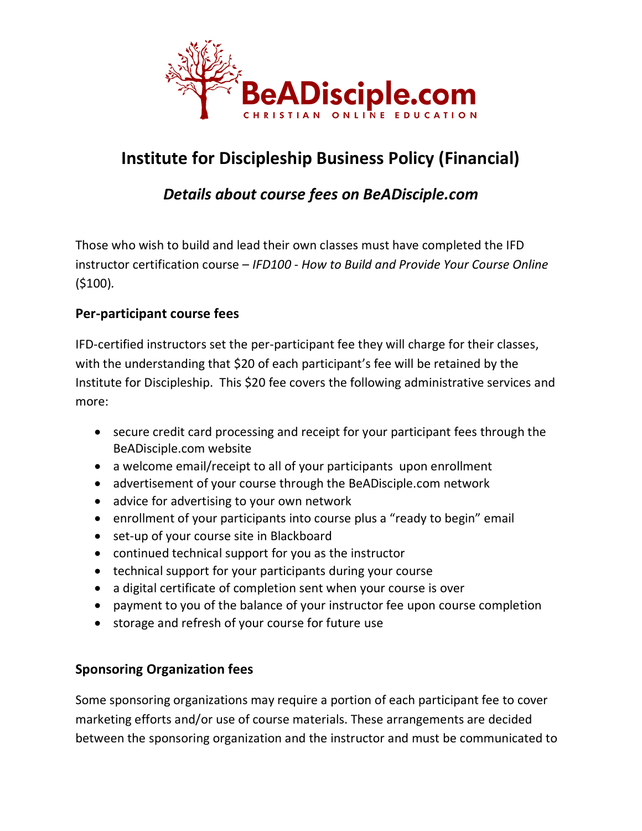

# **Institute for Discipleship Business Policy (Financial)**

# *Details about course fees on BeADisciple.com*

Those who wish to build and lead their own classes must have completed the IFD instructor certification course – *IFD100 - How to Build and Provide Your Course Online* (\$100)*.* 

### **Per-participant course fees**

IFD-certified instructors set the per-participant fee they will charge for their classes, with the understanding that \$20 of each participant's fee will be retained by the Institute for Discipleship. This \$20 fee covers the following administrative services and more:

- secure credit card processing and receipt for your participant fees through the BeADisciple.com website
- a welcome email/receipt to all of your participants upon enrollment
- advertisement of your course through the BeADisciple.com network
- advice for advertising to your own network
- enrollment of your participants into course plus a "ready to begin" email
- set-up of your course site in Blackboard
- continued technical support for you as the instructor
- technical support for your participants during your course
- a digital certificate of completion sent when your course is over
- payment to you of the balance of your instructor fee upon course completion
- storage and refresh of your course for future use

## **Sponsoring Organization fees**

Some sponsoring organizations may require a portion of each participant fee to cover marketing efforts and/or use of course materials. These arrangements are decided between the sponsoring organization and the instructor and must be communicated to